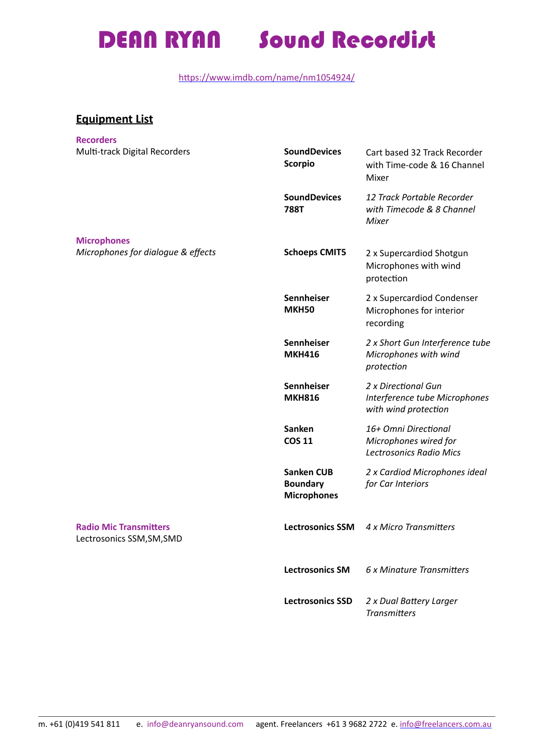## DEAN RYAN Sound Recordist

https://www.imdb.com/name/nm1054924/

## **Equipment List**

| <b>Recorders</b>                                           |                                                            |                                                                                 |
|------------------------------------------------------------|------------------------------------------------------------|---------------------------------------------------------------------------------|
| Multi-track Digital Recorders                              | <b>SoundDevices</b><br><b>Scorpio</b>                      | Cart based 32 Track Recorder<br>with Time-code & 16 Channel<br>Mixer            |
|                                                            | <b>SoundDevices</b><br><b>788T</b>                         | 12 Track Portable Recorder<br>with Timecode & 8 Channel<br><b>Mixer</b>         |
| <b>Microphones</b>                                         |                                                            |                                                                                 |
| Microphones for dialogue & effects                         | <b>Schoeps CMIT5</b>                                       | 2 x Supercardiod Shotgun<br>Microphones with wind<br>protection                 |
|                                                            | Sennheiser<br><b>MKH50</b>                                 | 2 x Supercardiod Condenser<br>Microphones for interior<br>recording             |
|                                                            | <b>Sennheiser</b><br><b>MKH416</b>                         | 2 x Short Gun Interference tube<br>Microphones with wind<br>protection          |
|                                                            | Sennheiser<br><b>MKH816</b>                                | 2 x Directional Gun<br>Interference tube Microphones<br>with wind protection    |
|                                                            | <b>Sanken</b><br><b>COS 11</b>                             | 16+ Omni Directional<br>Microphones wired for<br><b>Lectrosonics Radio Mics</b> |
|                                                            | <b>Sanken CUB</b><br><b>Boundary</b><br><b>Microphones</b> | 2 x Cardiod Microphones ideal<br>for Car Interiors                              |
| <b>Radio Mic Transmitters</b><br>Lectrosonics SSM, SM, SMD | <b>Lectrosonics SSM</b>                                    | 4 x Micro Transmitters                                                          |
|                                                            | <b>Lectrosonics SM</b>                                     | 6 x Minature Transmitters                                                       |
|                                                            | <b>Lectrosonics SSD</b>                                    | 2 x Dual Battery Larger<br><b>Transmitters</b>                                  |
|                                                            |                                                            |                                                                                 |